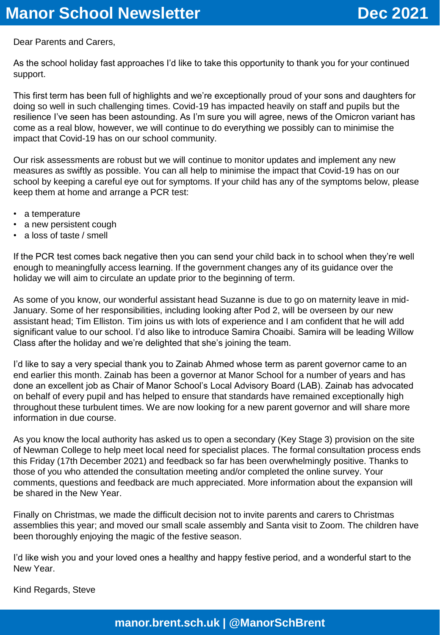Dear Parents and Carers,

As the school holiday fast approaches I'd like to take this opportunity to thank you for your continued support.

This first term has been full of highlights and we're exceptionally proud of your sons and daughters for doing so well in such challenging times. Covid-19 has impacted heavily on staff and pupils but the resilience I've seen has been astounding. As I'm sure you will agree, news of the Omicron variant has come as a real blow, however, we will continue to do everything we possibly can to minimise the impact that Covid-19 has on our school community.

Our risk assessments are robust but we will continue to monitor updates and implement any new measures as swiftly as possible. You can all help to minimise the impact that Covid-19 has on our school by keeping a careful eye out for symptoms. If your child has any of the symptoms below, please keep them at home and arrange a PCR test:

- a temperature
- a new persistent cough
- a loss of taste / smell

If the PCR test comes back negative then you can send your child back in to school when they're well enough to meaningfully access learning. If the government changes any of its guidance over the holiday we will aim to circulate an update prior to the beginning of term.

As some of you know, our wonderful assistant head Suzanne is due to go on maternity leave in mid-January. Some of her responsibilities, including looking after Pod 2, will be overseen by our new assistant head; Tim Elliston. Tim joins us with lots of experience and I am confident that he will add significant value to our school. I'd also like to introduce Samira Choaibi. Samira will be leading Willow Class after the holiday and we're delighted that she's joining the team.

I'd like to say a very special thank you to Zainab Ahmed whose term as parent governor came to an end earlier this month. Zainab has been a governor at Manor School for a number of years and has done an excellent job as Chair of Manor School's Local Advisory Board (LAB). Zainab has advocated on behalf of every pupil and has helped to ensure that standards have remained exceptionally high throughout these turbulent times. We are now looking for a new parent governor and will share more information in due course.

As you know the local authority has asked us to open a secondary (Key Stage 3) provision on the site of Newman College to help meet local need for specialist places. The formal consultation process ends this Friday (17th December 2021) and feedback so far has been overwhelmingly positive. Thanks to those of you who attended the consultation meeting and/or completed the online survey. Your comments, questions and feedback are much appreciated. More information about the expansion will be shared in the New Year.

Finally on Christmas, we made the difficult decision not to invite parents and carers to Christmas assemblies this year; and moved our small scale assembly and Santa visit to Zoom. The children have been thoroughly enjoying the magic of the festive season.

I'd like wish you and your loved ones a healthy and happy festive period, and a wonderful start to the New Year.

Kind Regards, Steve

**manor.brent.sch.uk | @ManorSchBrent**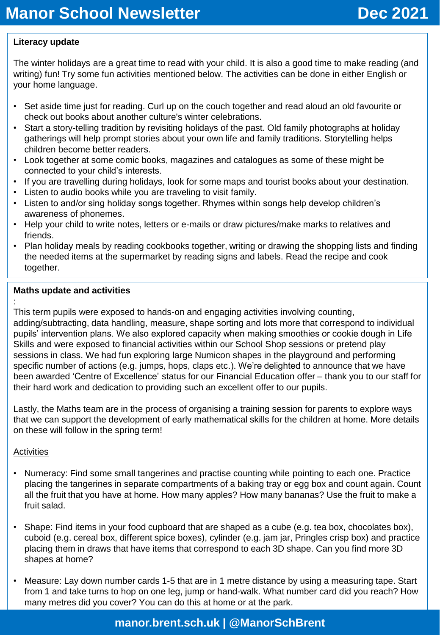# **Literacy update**

The winter holidays are a great time to read with your child. It is also a good time to make reading (and writing) fun! Try some fun activities mentioned below. The activities can be done in either English or your home language.

- Set aside time just for reading. Curl up on the couch together and read aloud an old favourite or check out books about another culture's winter celebrations.
- Start a story-telling tradition by revisiting holidays of the past. Old family photographs at holiday gatherings will help prompt stories about your own life and family traditions. Storytelling helps children become better readers.
- Look together at some comic books, magazines and catalogues as some of these might be connected to your child's interests.
- If you are travelling during holidays, look for some maps and tourist books about your destination.
- Listen to audio books while you are traveling to visit family.
- Listen to and/or sing holiday songs together. Rhymes within songs help develop children's awareness of phonemes.
- Help your child to write notes, letters or e-mails or draw pictures/make marks to relatives and friends.
- Plan holiday meals by reading cookbooks together, writing or drawing the shopping lists and finding the needed items at the supermarket by reading signs and labels. Read the recipe and cook together.

## **Maths update and activities**

: This term pupils were exposed to hands-on and engaging activities involving counting,

adding/subtracting, data handling, measure, shape sorting and lots more that correspond to individual pupils' intervention plans. We also explored capacity when making smoothies or cookie dough in Life Skills and were exposed to financial activities within our School Shop sessions or pretend play sessions in class. We had fun exploring large Numicon shapes in the playground and performing specific number of actions (e.g. jumps, hops, claps etc.). We're delighted to announce that we have been awarded 'Centre of Excellence' status for our Financial Education offer – thank you to our staff for their hard work and dedication to providing such an excellent offer to our pupils.

Lastly, the Maths team are in the process of organising a training session for parents to explore ways that we can support the development of early mathematical skills for the children at home. More details on these will follow in the spring term!

# **Activities**

- Numeracy: Find some small tangerines and practise counting while pointing to each one. Practice placing the tangerines in separate compartments of a baking tray or egg box and count again. Count all the fruit that you have at home. How many apples? How many bananas? Use the fruit to make a fruit salad.
- Shape: Find items in your food cupboard that are shaped as a cube (e.g. tea box, chocolates box), cuboid (e.g. cereal box, different spice boxes), cylinder (e.g. jam jar, Pringles crisp box) and practice placing them in draws that have items that correspond to each 3D shape. Can you find more 3D shapes at home?
- Measure: Lay down number cards 1-5 that are in 1 metre distance by using a measuring tape. Start from 1 and take turns to hop on one leg, jump or hand-walk. What number card did you reach? How many metres did you cover? You can do this at home or at the park.

# **manor.brent.sch.uk | @ManorSchBrent**